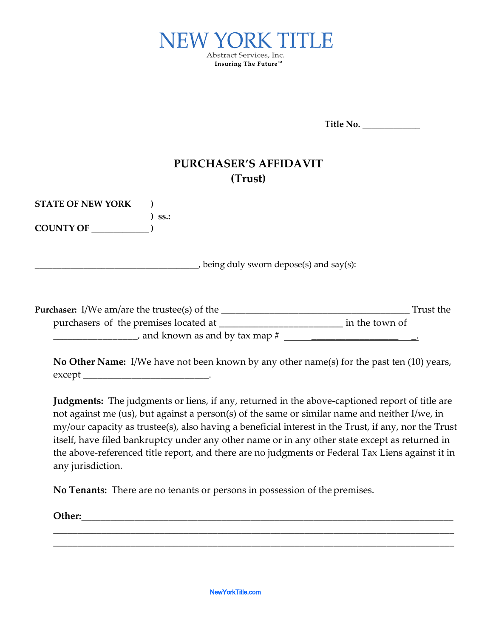

**Title No.** \_\_\_\_\_\_\_\_\_\_\_\_\_

## **PURCHASER'S AFFIDAVIT (Trust)**

| <b>STATE OF NEW YORK</b>                                                     | $SS.$ :                                    |                |           |
|------------------------------------------------------------------------------|--------------------------------------------|----------------|-----------|
| <b>COUNTY OF</b>                                                             |                                            |                |           |
|                                                                              | being duly sworn depose(s) and say $(s)$ : |                |           |
| <b>Purchaser:</b> I/We am/are the trustee(s) of the $\overline{\phantom{a}}$ |                                            |                | Trust the |
| purchasers of the premises located at                                        | and known as and by tax map $#$            | in the town of |           |

**No Other Name:** I/We have not been known by any other name(s) for the past ten (10) years, except \_\_\_\_\_\_\_\_\_\_\_\_\_\_\_\_\_\_\_\_\_\_\_\_\_\_.

**Judgments:** The judgments or liens, if any, returned in the above-captioned report of title are not against me (us), but against a person(s) of the same or similar name and neither I/we, in my/our capacity as trustee(s), also having a beneficial interest in the Trust, if any, nor the Trust itself, have filed bankruptcy under any other name or in any other state except as returned in the above-referenced title report, and there are no judgments or Federal Tax Liens against it in any jurisdiction.

\_\_\_\_\_\_\_\_\_\_\_\_\_\_\_\_\_\_\_\_\_\_\_\_\_\_\_\_\_\_\_\_\_\_\_\_\_\_\_\_\_\_\_\_\_\_\_\_\_\_\_\_\_\_\_\_\_\_\_\_\_\_\_\_\_\_\_\_\_\_\_\_\_\_\_\_\_\_\_\_\_\_\_ \_\_\_\_\_\_\_\_\_\_\_\_\_\_\_\_\_\_\_\_\_\_\_\_\_\_\_\_\_\_\_\_\_\_\_\_\_\_\_\_\_\_\_\_\_\_\_\_\_\_\_\_\_\_\_\_\_\_\_\_\_\_\_\_\_\_\_\_\_\_\_\_\_\_\_\_\_\_\_\_\_\_\_

**No Tenants:** There are no tenants or persons in possession of the premises.

**Other:**\_\_\_\_\_\_\_\_\_\_\_\_\_\_\_\_\_\_\_\_\_\_\_\_\_\_\_\_\_\_\_\_\_\_\_\_\_\_\_\_\_\_\_\_\_\_\_\_\_\_\_\_\_\_\_\_\_\_\_\_\_\_\_\_\_\_\_\_\_\_\_\_\_\_\_\_\_

NewYorkTitle.com